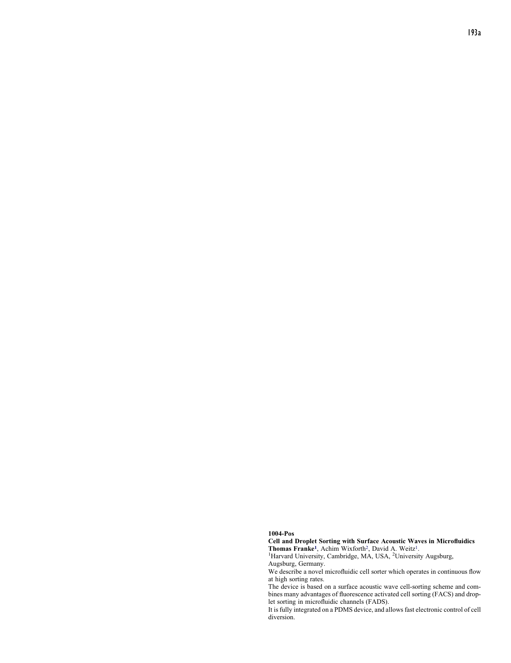## 1004-Pos

Cell and Droplet Sorting with Surface Acoustic Waves in Microfluidics

Thomas Franke<sup>1</sup>, Achim Wixforth<sup>2</sup>, David A. Weitz<sup>1</sup>.<br><sup>1</sup>Harvard University, Cambridge, MA, USA, <sup>2</sup>University Augsburg, Augsburg, Germany.

We describe a novel microfluidic cell sorter which operates in continuous flow at high sorting rates.

The device is based on a surface acoustic wave cell-sorting scheme and combines many advantages of fluorescence activated cell sorting (FACS) and droplet sorting in microfluidic channels (FADS).

It is fully integrated on a PDMS device, and allowsfast electronic control of cell diversion.